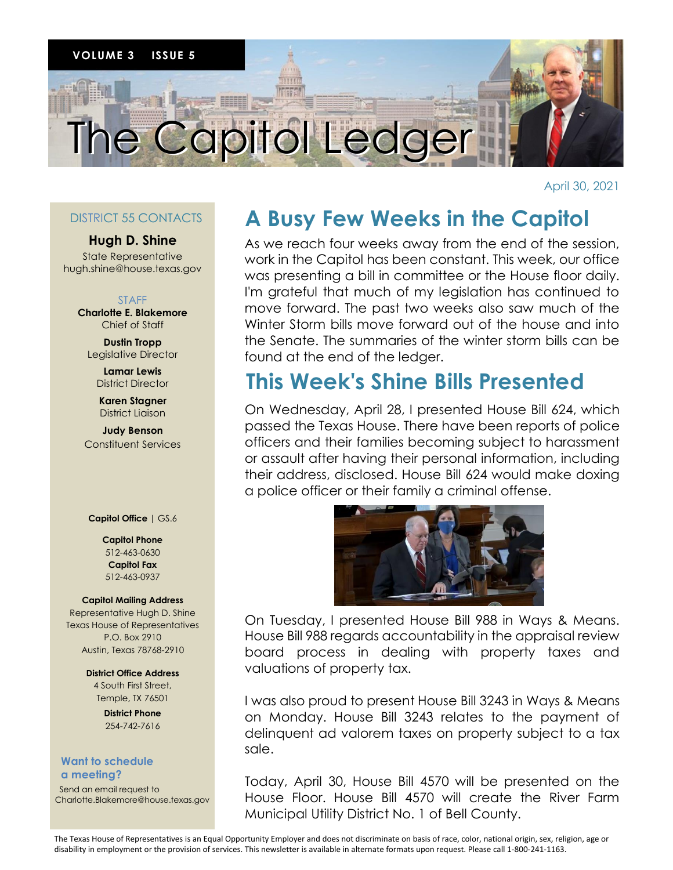

April 30, 2021

## DISTRICT 55 CONTACTS

### **Hugh D. Shine**

State Representative hugh.shine@house.texas.gov

#### STAFF

**Charlotte E. Blakemore** Chief of Staff

**Dustin Tropp** Legislative Director

> **Lamar Lewis** District Director

**Karen Stagner** District Liaison

**Judy Benson** Constituent Services

**Capitol Office |** GS.6

#### **Capitol Phone** 512-463-0630 **Capitol Fax** 512-463-0937

#### **Capitol Mailing Address**

Representative Hugh D. Shine Texas House of Representatives P.O. Box 2910 Austin, Texas 78768-2910

> **District Office Address** 4 South First Street, Temple, TX 76501

> > **District Phone** 254-742-7616

#### **Want to schedule a meeting?**

 Send an email request to Charlotte.Blakemore@house.texas.gov

# **A Busy Few Weeks in the Capitol**

As we reach four weeks away from the end of the session, work in the Capitol has been constant. This week, our office was presenting a bill in committee or the House floor daily. I'm grateful that much of my legislation has continued to move forward. The past two weeks also saw much of the Winter Storm bills move forward out of the house and into the Senate. The summaries of the winter storm bills can be found at the end of the ledger.

# **This Week's Shine Bills Presented**

On Wednesday, April 28, I presented House Bill 624, which On Wednesday, April 28, I presented House Bill 624, which passed the Texas House. There have been reports of police passed the Texas House. There have been reports of police .<br>officers and their families becoming subject to harassment or assault after having their personal information, including their address, disclosed. House Bill 624 would make doxing a police officer or their family a criminal offense.



House Bill 988 regards accountability in the appraisal review board process in dealing with property taxes and valuations of property tax. On Tuesday, I presented House Bill 988 in Ways & Means.

on Monday. House Bill 3243 relates to the payment of delinquent ad valorem taxes on property subject to a tax sale. The sale of the sale of the sale of the sale of the sale of the sale of the sale of the sale of the sale I was also proud to present House Bill 3243 in Ways & Means

Today, April 29, House Bill 4570 will be presented on the Today, April 30, House Bill 4570 will be presented on the House Floor. House Bill 4570 will create the River Farm Municipal Utility District No. 1 of Bell County. Municipal Utility District No. 1 of Bell County.

The Texas House of Representatives is an Equal Opportunity Employer and does not discriminate on basis of race, color, national origin, sex, religion, age or disability in employment or the provision of services. This newsletter is available in alternate formats upon request. Please call 1-800-241-1163.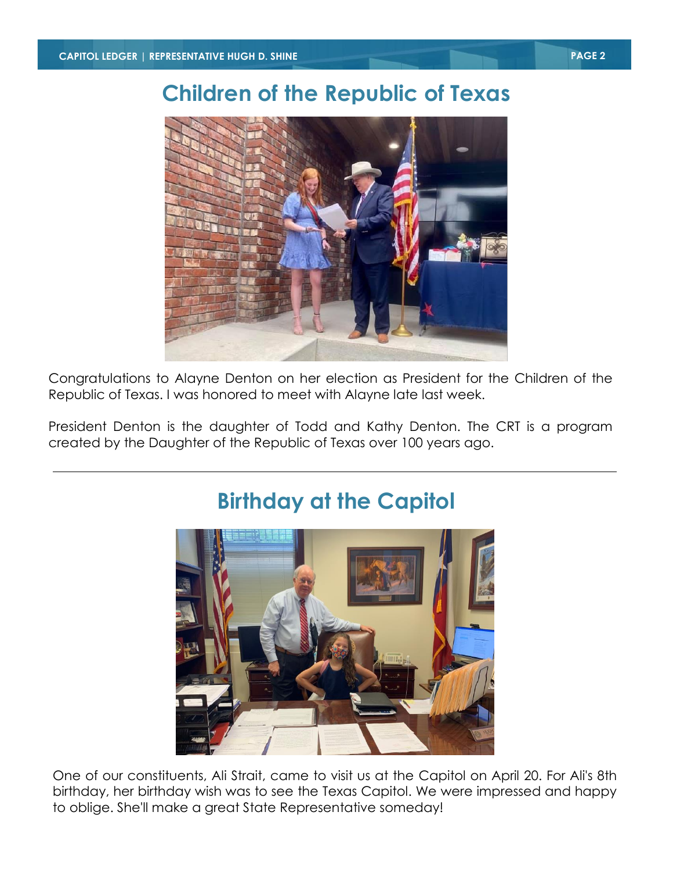# **Children of the Republic of Texas**



Congratulations to Alayne Denton on her election as President for the Children of the Republic of Texas. I was honored to meet with Alayne late last week.

President Denton is the daughter of Todd and Kathy Denton. The CRT is a program created by the Daughter of the Republic of Texas over 100 years ago.



## One of our constituents, Ali Strait, came to visit us at the Capitol on April 20. For Ali's 8th birthday, her birthday wish was to see the Texas Capitol. We were impressed and happy to oblige. She'll make a great State Representative someday!